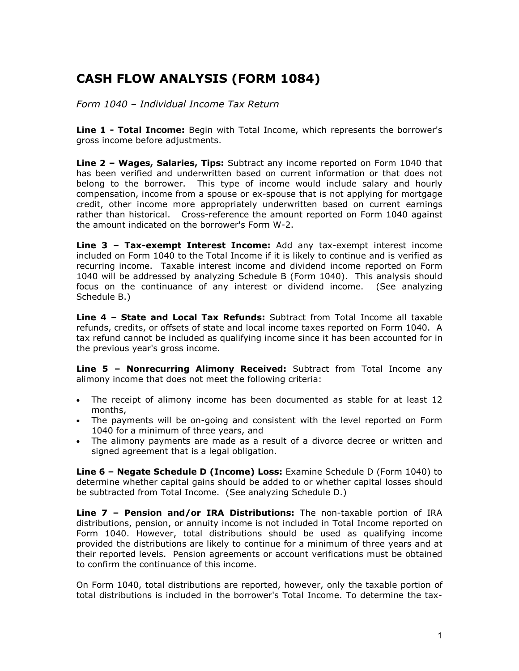# **CASH FLOW ANALYSIS (FORM 1084)**

*Form 1040 – Individual Income Tax Return*

**Line 1 - Total Income:** Begin with Total Income, which represents the borrower's gross income before adjustments.

**Line 2 – Wages, Salaries, Tips:** Subtract any income reported on Form 1040 that has been verified and underwritten based on current information or that does not belong to the borrower. This type of income would include salary and hourly compensation, income from a spouse or ex-spouse that is not applying for mortgage credit, other income more appropriately underwritten based on current earnings rather than historical. Cross-reference the amount reported on Form 1040 against the amount indicated on the borrower's Form W-2.

**Line 3 – Tax-exempt Interest Income:** Add any tax-exempt interest income included on Form 1040 to the Total Income if it is likely to continue and is verified as recurring income.Taxable interest income and dividend income reported on Form 1040 will be addressed by analyzing Schedule B (Form 1040). This analysis should focus on the continuance of any interest or dividend income. (See analyzing Schedule B.)

**Line 4 – State and Local Tax Refunds:** Subtract from Total Income all taxable refunds, credits, or offsets of state and local income taxes reported on Form 1040. A tax refund cannot be included as qualifying income since it has been accounted for in the previous year's gross income.

**Line 5 – Nonrecurring Alimony Received:** Subtract from Total Income any alimony income that does not meet the following criteria:

- The receipt of alimony income has been documented as stable for at least 12 months,
- The payments will be on-going and consistent with the level reported on Form 1040 for a minimum of three years, and
- The alimony payments are made as a result of a divorce decree or written and signed agreement that is a legal obligation.

**Line 6 – Negate Schedule D (Income) Loss:** Examine Schedule D (Form 1040) to determine whether capital gains should be added to or whether capital losses should be subtracted from Total Income. (See analyzing Schedule D.)

**Line 7 – Pension and/or IRA Distributions:** The non-taxable portion of IRA distributions, pension, or annuity income is not included in Total Income reported on Form 1040. However, total distributions should be used as qualifying income provided the distributions are likely to continue for a minimum of three years and at their reported levels. Pension agreements or account verifications must be obtained to confirm the continuance of this income.

On Form 1040, total distributions are reported, however, only the taxable portion of total distributions is included in the borrower's Total Income. To determine the tax-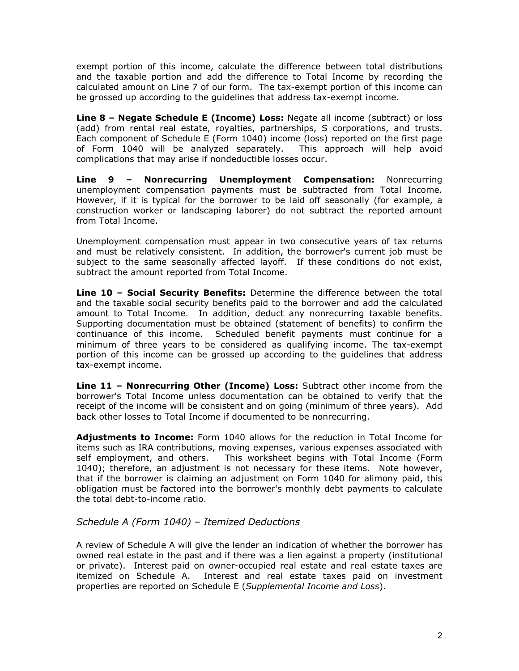exempt portion of this income, calculate the difference between total distributions and the taxable portion and add the difference to Total Income by recording the calculated amount on Line 7 of our form. The tax-exempt portion of this income can be grossed up according to the guidelines that address tax-exempt income.

**Line 8 – Negate Schedule E (Income) Loss:** Negate all income (subtract) or loss (add) from rental real estate, royalties, partnerships, S corporations, and trusts. Each component of Schedule E (Form 1040) income (loss) reported on the first page of Form 1040 will be analyzed separately. This approach will help avoid complications that may arise if nondeductible losses occur.

**Line 9 – Nonrecurring Unemployment Compensation:** Nonrecurring unemployment compensation payments must be subtracted from Total Income. However, if it is typical for the borrower to be laid off seasonally (for example, a construction worker or landscaping laborer) do not subtract the reported amount from Total Income.

Unemployment compensation must appear in two consecutive years of tax returns and must be relatively consistent. In addition, the borrower's current job must be subject to the same seasonally affected layoff. If these conditions do not exist, subtract the amount reported from Total Income.

**Line 10 – Social Security Benefits:** Determine the difference between the total and the taxable social security benefits paid to the borrower and add the calculated amount to Total Income. In addition, deduct any nonrecurring taxable benefits. Supporting documentation must be obtained (statement of benefits) to confirm the continuance of this income. Scheduled benefit payments must continue for a minimum of three years to be considered as qualifying income. The tax-exempt portion of this income can be grossed up according to the guidelines that address tax-exempt income.

**Line 11 – Nonrecurring Other (Income) Loss:** Subtract other income from the borrower's Total Income unless documentation can be obtained to verify that the receipt of the income will be consistent and on going (minimum of three years). Add back other losses to Total Income if documented to be nonrecurring.

**Adjustments to Income:** Form 1040 allows for the reduction in Total Income for items such as IRA contributions, moving expenses, various expenses associated with self employment, and others. This worksheet begins with Total Income (Form 1040); therefore, an adjustment is not necessary for these items. Note however, that if the borrower is claiming an adjustment on Form 1040 for alimony paid, this obligation must be factored into the borrower's monthly debt payments to calculate the total debt-to-income ratio.

## *Schedule A (Form 1040) – Itemized Deductions*

A review of Schedule A will give the lender an indication of whether the borrower has owned real estate in the past and if there was a lien against a property (institutional or private). Interest paid on owner-occupied real estate and real estate taxes are itemized on Schedule A. Interest and real estate taxes paid on investment properties are reported on Schedule E (*Supplemental Income and Loss*).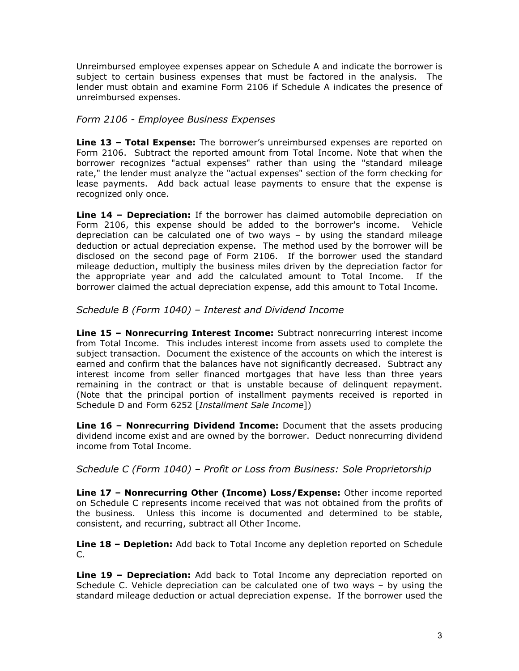Unreimbursed employee expenses appear on Schedule A and indicate the borrower is subject to certain business expenses that must be factored in the analysis. The lender must obtain and examine Form 2106 if Schedule A indicates the presence of unreimbursed expenses.

### *Form 2106 - Employee Business Expenses*

**Line 13 – Total Expense:** The borrower's unreimbursed expenses are reported on Form 2106. Subtract the reported amount from Total Income. Note that when the borrower recognizes "actual expenses" rather than using the "standard mileage rate," the lender must analyze the "actual expenses" section of the form checking for lease payments. Add back actual lease payments to ensure that the expense is recognized only once.

**Line 14 – Depreciation:** If the borrower has claimed automobile depreciation on Form 2106, this expense should be added to the borrower's income. Vehicle depreciation can be calculated one of two ways – by using the standard mileage deduction or actual depreciation expense. The method used by the borrower will be disclosed on the second page of Form 2106. If the borrower used the standard mileage deduction, multiply the business miles driven by the depreciation factor for the appropriate year and add the calculated amount to Total Income. If the borrower claimed the actual depreciation expense, add this amount to Total Income.

## *Schedule B (Form 1040) – Interest and Dividend Income*

**Line 15 – Nonrecurring Interest Income:** Subtract nonrecurring interest income from Total Income. This includes interest income from assets used to complete the subject transaction. Document the existence of the accounts on which the interest is earned and confirm that the balances have not significantly decreased. Subtract any interest income from seller financed mortgages that have less than three years remaining in the contract or that is unstable because of delinquent repayment. (Note that the principal portion of installment payments received is reported in Schedule D and Form 6252 [*Installment Sale Income*])

**Line 16 – Nonrecurring Dividend Income:** Document that the assets producing dividend income exist and are owned by the borrower. Deduct nonrecurring dividend income from Total Income.

#### *Schedule C (Form 1040) – Profit or Loss from Business: Sole Proprietorship*

**Line 17 – Nonrecurring Other (Income) Loss/Expense:** Other income reported on Schedule C represents income received that was not obtained from the profits of the business. Unless this income is documented and determined to be stable, consistent, and recurring, subtract all Other Income.

**Line 18 – Depletion:** Add back to Total Income any depletion reported on Schedule C.

**Line 19 – Depreciation:** Add back to Total Income any depreciation reported on Schedule C. Vehicle depreciation can be calculated one of two ways – by using the standard mileage deduction or actual depreciation expense. If the borrower used the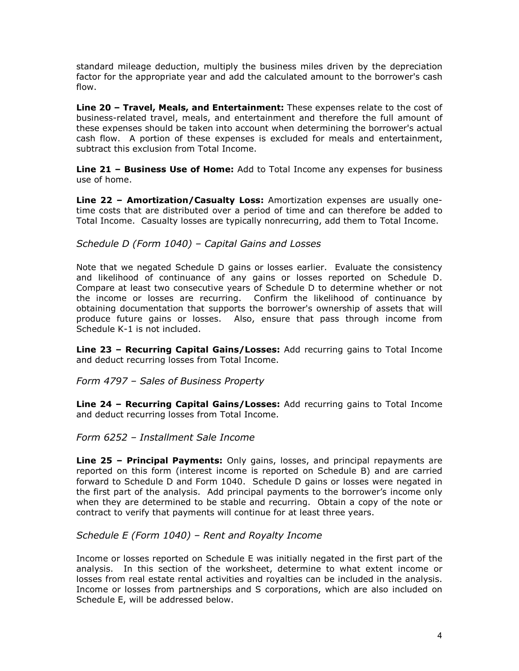standard mileage deduction, multiply the business miles driven by the depreciation factor for the appropriate year and add the calculated amount to the borrower's cash flow.

**Line 20 – Travel, Meals, and Entertainment:** These expenses relate to the cost of business-related travel, meals, and entertainment and therefore the full amount of these expenses should be taken into account when determining the borrower's actual cash flow. A portion of these expenses is excluded for meals and entertainment, subtract this exclusion from Total Income.

**Line 21 – Business Use of Home:** Add to Total Income any expenses for business use of home.

**Line 22 – Amortization/Casualty Loss:** Amortization expenses are usually onetime costs that are distributed over a period of time and can therefore be added to Total Income. Casualty losses are typically nonrecurring, add them to Total Income.

## *Schedule D (Form 1040) – Capital Gains and Losses*

Note that we negated Schedule D gains or losses earlier. Evaluate the consistency and likelihood of continuance of any gains or losses reported on Schedule D. Compare at least two consecutive years of Schedule D to determine whether or not the income or losses are recurring. Confirm the likelihood of continuance by obtaining documentation that supports the borrower's ownership of assets that will produce future gains or losses. Also, ensure that pass through income from Schedule K-1 is not included.

**Line 23 – Recurring Capital Gains/Losses:** Add recurring gains to Total Income and deduct recurring losses from Total Income.

*Form 4797 – Sales of Business Property*

**Line 24 – Recurring Capital Gains/Losses:** Add recurring gains to Total Income and deduct recurring losses from Total Income.

#### *Form 6252 – Installment Sale Income*

**Line 25 – Principal Payments:** Only gains, losses, and principal repayments are reported on this form (interest income is reported on Schedule B) and are carried forward to Schedule D and Form 1040. Schedule D gains or losses were negated in the first part of the analysis. Add principal payments to the borrower's income only when they are determined to be stable and recurring. Obtain a copy of the note or contract to verify that payments will continue for at least three years.

#### *Schedule E (Form 1040) – Rent and Royalty Income*

Income or losses reported on Schedule E was initially negated in the first part of the analysis. In this section of the worksheet, determine to what extent income or losses from real estate rental activities and royalties can be included in the analysis. Income or losses from partnerships and S corporations, which are also included on Schedule E, will be addressed below.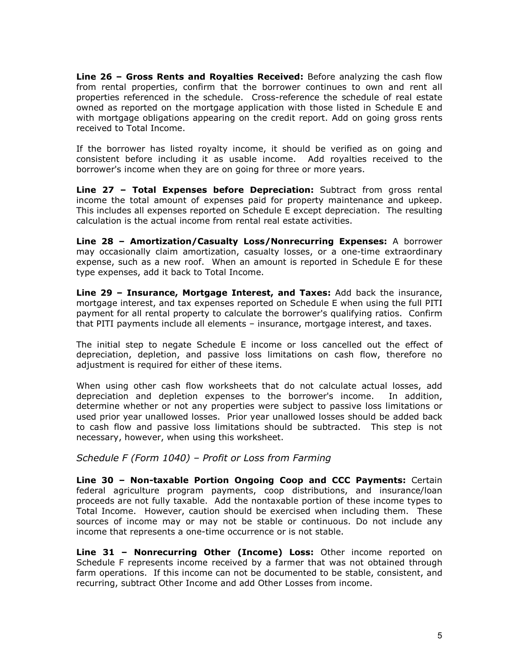**Line 26 – Gross Rents and Royalties Received:** Before analyzing the cash flow from rental properties, confirm that the borrower continues to own and rent all properties referenced in the schedule. Cross-reference the schedule of real estate owned as reported on the mortgage application with those listed in Schedule E and with mortgage obligations appearing on the credit report. Add on going gross rents received to Total Income.

If the borrower has listed royalty income, it should be verified as on going and consistent before including it as usable income. Add royalties received to the borrower's income when they are on going for three or more years.

**Line 27 – Total Expenses before Depreciation:** Subtract from gross rental income the total amount of expenses paid for property maintenance and upkeep. This includes all expenses reported on Schedule E except depreciation. The resulting calculation is the actual income from rental real estate activities.

**Line 28 – Amortization/Casualty Loss/Nonrecurring Expenses:** A borrower may occasionally claim amortization, casualty losses, or a one-time extraordinary expense, such as a new roof. When an amount is reported in Schedule E for these type expenses, add it back to Total Income.

**Line 29 – Insurance, Mortgage Interest, and Taxes:** Add back the insurance, mortgage interest, and tax expenses reported on Schedule E when using the full PITI payment for all rental property to calculate the borrower's qualifying ratios. Confirm that PITI payments include all elements – insurance, mortgage interest, and taxes.

The initial step to negate Schedule E income or loss cancelled out the effect of depreciation, depletion, and passive loss limitations on cash flow, therefore no adjustment is required for either of these items.

When using other cash flow worksheets that do not calculate actual losses, add depreciation and depletion expenses to the borrower's income. In addition, determine whether or not any properties were subject to passive loss limitations or used prior year unallowed losses. Prior year unallowed losses should be added back to cash flow and passive loss limitations should be subtracted. This step is not necessary, however, when using this worksheet.

#### *Schedule F (Form 1040) – Profit or Loss from Farming*

**Line 30 – Non-taxable Portion Ongoing Coop and CCC Payments:** Certain federal agriculture program payments, coop distributions, and insurance/loan proceeds are not fully taxable. Add the nontaxable portion of these income types to Total Income. However, caution should be exercised when including them. These sources of income may or may not be stable or continuous. Do not include any income that represents a one-time occurrence or is not stable.

**Line 31 – Nonrecurring Other (Income) Loss:** Other income reported on Schedule F represents income received by a farmer that was not obtained through farm operations. If this income can not be documented to be stable, consistent, and recurring, subtract Other Income and add Other Losses from income.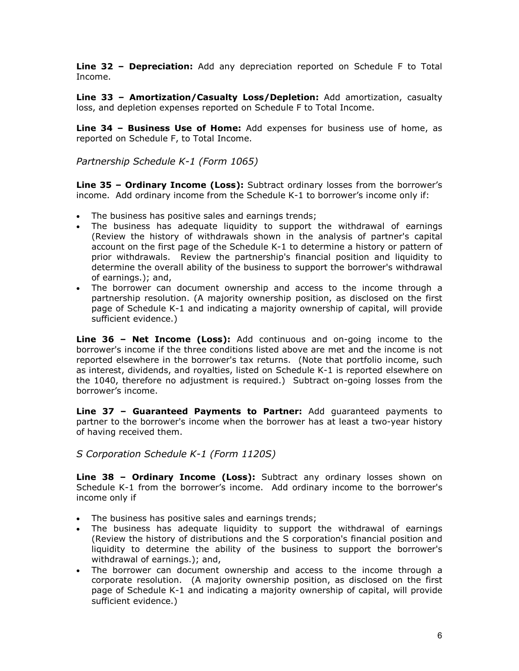**Line 32 – Depreciation:** Add any depreciation reported on Schedule F to Total Income.

**Line 33 – Amortization/Casualty Loss/Depletion:** Add amortization, casualty loss, and depletion expenses reported on Schedule F to Total Income.

**Line 34 – Business Use of Home:** Add expenses for business use of home, as reported on Schedule F, to Total Income.

*Partnership Schedule K-1 (Form 1065)*

**Line 35 – Ordinary Income (Loss):** Subtract ordinary losses from the borrower's income. Add ordinary income from the Schedule K-1 to borrower's income only if:

- The business has positive sales and earnings trends;
- The business has adequate liquidity to support the withdrawal of earnings (Review the history of withdrawals shown in the analysis of partner's capital account on the first page of the Schedule K-1 to determine a history or pattern of prior withdrawals. Review the partnership's financial position and liquidity to determine the overall ability of the business to support the borrower's withdrawal of earnings.); and,
- The borrower can document ownership and access to the income through a partnership resolution. (A majority ownership position, as disclosed on the first page of Schedule K-1 and indicating a majority ownership of capital, will provide sufficient evidence.)

**Line 36 – Net Income (Loss):** Add continuous and on-going income to the borrower's income if the three conditions listed above are met and the income is not reported elsewhere in the borrower's tax returns. (Note that portfolio income, such as interest, dividends, and royalties, listed on Schedule K-1 is reported elsewhere on the 1040, therefore no adjustment is required.) Subtract on-going losses from the borrower's income.

**Line 37 – Guaranteed Payments to Partner:** Add guaranteed payments to partner to the borrower's income when the borrower has at least a two-year history of having received them.

*S Corporation Schedule K-1 (Form 1120S)*

**Line 38 – Ordinary Income (Loss):** Subtract any ordinary losses shown on Schedule K-1 from the borrower's income. Add ordinary income to the borrower's income only if

- The business has positive sales and earnings trends;
- The business has adequate liquidity to support the withdrawal of earnings (Review the history of distributions and the S corporation's financial position and liquidity to determine the ability of the business to support the borrower's withdrawal of earnings.); and,
- The borrower can document ownership and access to the income through a corporate resolution. (A majority ownership position, as disclosed on the first page of Schedule K-1 and indicating a majority ownership of capital, will provide sufficient evidence.)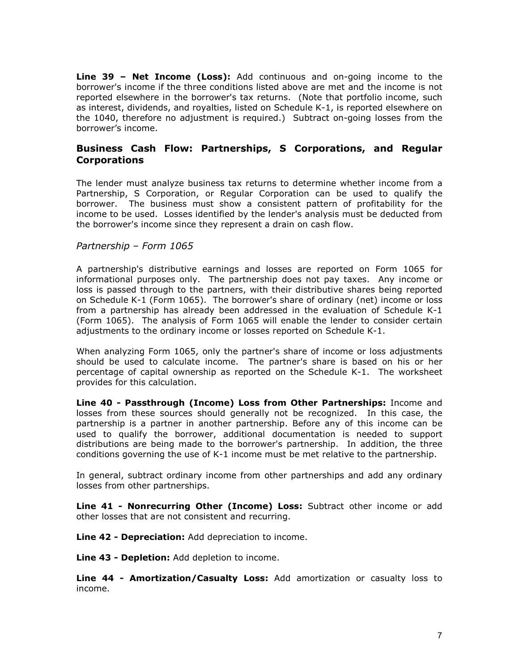**Line 39 – Net Income (Loss):** Add continuous and on-going income to the borrower's income if the three conditions listed above are met and the income is not reported elsewhere in the borrower's tax returns. (Note that portfolio income, such as interest, dividends, and royalties, listed on Schedule K-1, is reported elsewhere on the 1040, therefore no adjustment is required.) Subtract on-going losses from the borrower's income.

## **Business Cash Flow: Partnerships, S Corporations, and Regular Corporations**

The lender must analyze business tax returns to determine whether income from a Partnership, S Corporation, or Regular Corporation can be used to qualify the borrower. The business must show a consistent pattern of profitability for the income to be used. Losses identified by the lender's analysis must be deducted from the borrower's income since they represent a drain on cash flow.

#### *Partnership – Form 1065*

A partnership's distributive earnings and losses are reported on Form 1065 for informational purposes only. The partnership does not pay taxes. Any income or loss is passed through to the partners, with their distributive shares being reported on Schedule K-1 (Form 1065). The borrower's share of ordinary (net) income or loss from a partnership has already been addressed in the evaluation of Schedule K-1 (Form 1065). The analysis of Form 1065 will enable the lender to consider certain adjustments to the ordinary income or losses reported on Schedule K-1.

When analyzing Form 1065, only the partner's share of income or loss adjustments should be used to calculate income. The partner's share is based on his or her percentage of capital ownership as reported on the Schedule K-1. The worksheet provides for this calculation.

**Line 40 - Passthrough (Income) Loss from Other Partnerships:** Income and losses from these sources should generally not be recognized. In this case, the partnership is a partner in another partnership. Before any of this income can be used to qualify the borrower, additional documentation is needed to support distributions are being made to the borrower's partnership. In addition, the three conditions governing the use of K-1 income must be met relative to the partnership.

In general, subtract ordinary income from other partnerships and add any ordinary losses from other partnerships.

**Line 41 - Nonrecurring Other (Income) Loss:** Subtract other income or add other losses that are not consistent and recurring.

**Line 42 - Depreciation:** Add depreciation to income.

**Line 43 - Depletion:** Add depletion to income.

**Line 44 - Amortization/Casualty Loss:** Add amortization or casualty loss to income.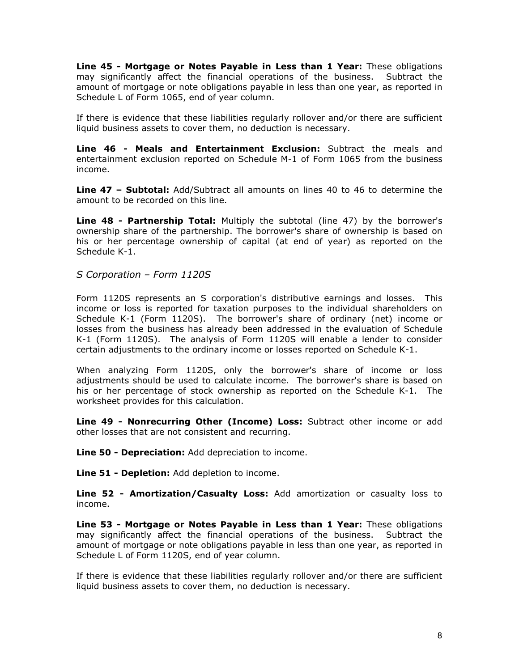**Line 45 - Mortgage or Notes Payable in Less than 1 Year:** These obligations may significantly affect the financial operations of the business. Subtract the amount of mortgage or note obligations payable in less than one year, as reported in Schedule L of Form 1065, end of year column.

If there is evidence that these liabilities regularly rollover and/or there are sufficient liquid business assets to cover them, no deduction is necessary.

**Line 46 - Meals and Entertainment Exclusion:** Subtract the meals and entertainment exclusion reported on Schedule M-1 of Form 1065 from the business income.

**Line 47 – Subtotal:** Add/Subtract all amounts on lines 40 to 46 to determine the amount to be recorded on this line.

**Line 48 - Partnership Total:** Multiply the subtotal (line 47) by the borrower's ownership share of the partnership. The borrower's share of ownership is based on his or her percentage ownership of capital (at end of year) as reported on the Schedule K-1.

*S Corporation – Form 1120S*

Form 1120S represents an S corporation's distributive earnings and losses. This income or loss is reported for taxation purposes to the individual shareholders on Schedule K-1 (Form 1120S). The borrower's share of ordinary (net) income or losses from the business has already been addressed in the evaluation of Schedule K-1 (Form 1120S). The analysis of Form 1120S will enable a lender to consider certain adjustments to the ordinary income or losses reported on Schedule K-1.

When analyzing Form 1120S, only the borrower's share of income or loss adjustments should be used to calculate income. The borrower's share is based on his or her percentage of stock ownership as reported on the Schedule K-1. The worksheet provides for this calculation.

**Line 49 - Nonrecurring Other (Income) Loss:** Subtract other income or add other losses that are not consistent and recurring.

**Line 50 - Depreciation:** Add depreciation to income.

**Line 51 - Depletion:** Add depletion to income.

**Line 52 - Amortization/Casualty Loss:** Add amortization or casualty loss to income.

**Line 53 - Mortgage or Notes Payable in Less than 1 Year:** These obligations may significantly affect the financial operations of the business. Subtract the amount of mortgage or note obligations payable in less than one year, as reported in Schedule L of Form 1120S, end of year column.

If there is evidence that these liabilities regularly rollover and/or there are sufficient liquid business assets to cover them, no deduction is necessary.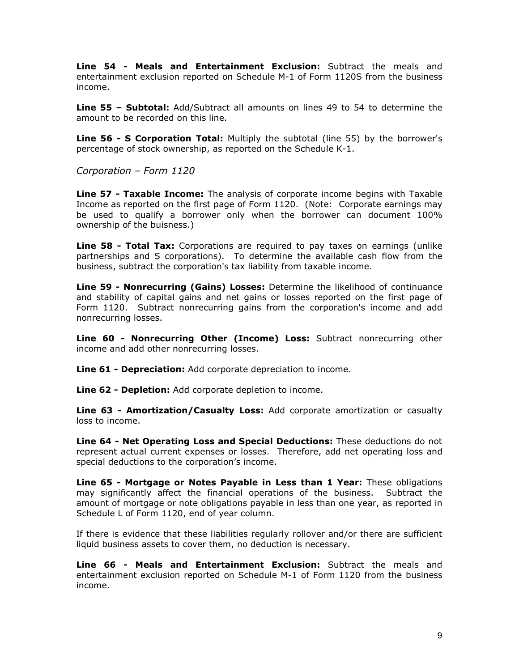**Line 54 - Meals and Entertainment Exclusion:** Subtract the meals and entertainment exclusion reported on Schedule M-1 of Form 1120S from the business income.

**Line 55 – Subtotal:** Add/Subtract all amounts on lines 49 to 54 to determine the amount to be recorded on this line.

**Line 56 - S Corporation Total:** Multiply the subtotal (line 55) by the borrower's percentage of stock ownership, as reported on the Schedule K-1.

*Corporation – Form 1120*

**Line 57 - Taxable Income:** The analysis of corporate income begins with Taxable Income as reported on the first page of Form 1120. (Note: Corporate earnings may be used to qualify a borrower only when the borrower can document 100% ownership of the buisness.)

**Line 58 - Total Tax:** Corporations are required to pay taxes on earnings (unlike partnerships and S corporations). To determine the available cash flow from the business, subtract the corporation's tax liability from taxable income.

**Line 59 - Nonrecurring (Gains) Losses:** Determine the likelihood of continuance and stability of capital gains and net gains or losses reported on the first page of Form 1120. Subtract nonrecurring gains from the corporation's income and add nonrecurring losses.

**Line 60 - Nonrecurring Other (Income) Loss:** Subtract nonrecurring other income and add other nonrecurring losses.

**Line 61 - Depreciation:** Add corporate depreciation to income.

**Line 62 - Depletion:** Add corporate depletion to income.

**Line 63 - Amortization/Casualty Loss:** Add corporate amortization or casualty loss to income.

**Line 64 - Net Operating Loss and Special Deductions:** These deductions do not represent actual current expenses or losses. Therefore, add net operating loss and special deductions to the corporation's income.

**Line 65 - Mortgage or Notes Payable in Less than 1 Year:** These obligations may significantly affect the financial operations of the business. Subtract the amount of mortgage or note obligations payable in less than one year, as reported in Schedule L of Form 1120, end of year column.

If there is evidence that these liabilities regularly rollover and/or there are sufficient liquid business assets to cover them, no deduction is necessary.

**Line 66 - Meals and Entertainment Exclusion:** Subtract the meals and entertainment exclusion reported on Schedule M-1 of Form 1120 from the business income.